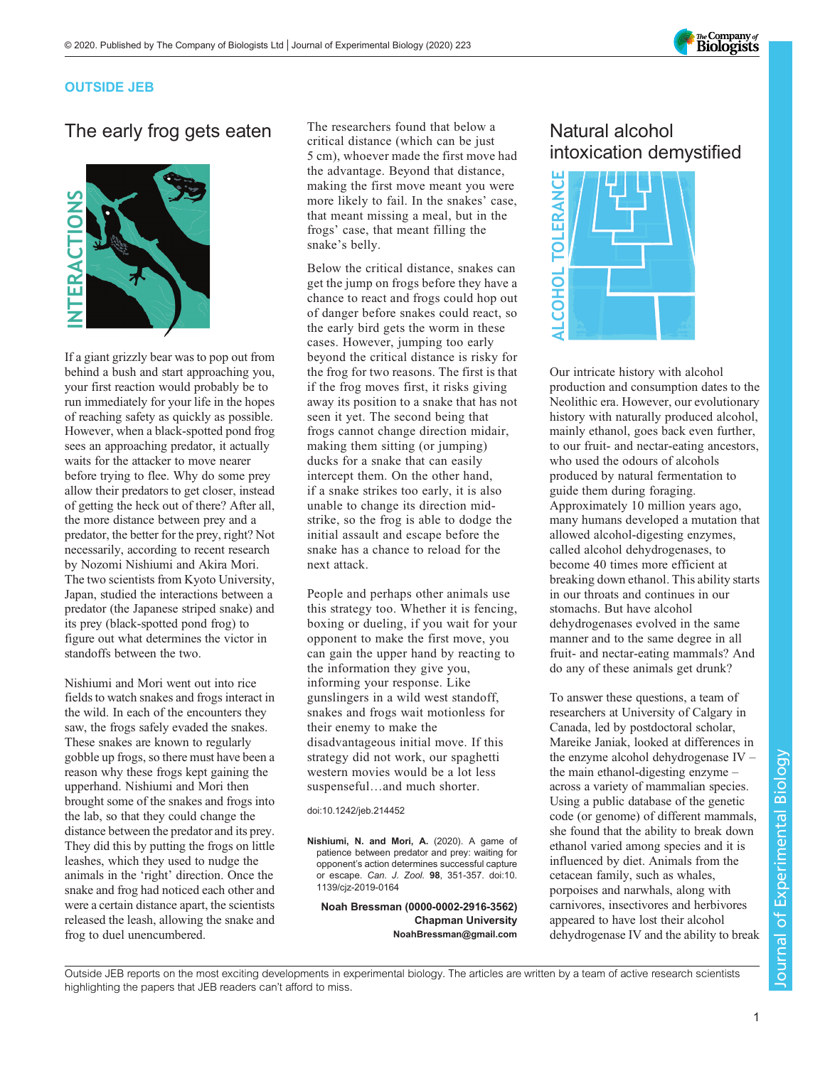

### OUTSIDE JEB

# The early frog gets eaten



If a giant grizzly bear was to pop out from behind a bush and start approaching you, your first reaction would probably be to run immediately for your life in the hopes of reaching safety as quickly as possible. However, when a black-spotted pond frog sees an approaching predator, it actually waits for the attacker to move nearer before trying to flee. Why do some prey allow their predators to get closer, instead of getting the heck out of there? After all, the more distance between prey and a predator, the better for the prey, right? Not necessarily, according to recent research by Nozomi Nishiumi and Akira Mori. The two scientists from Kyoto University, Japan, studied the interactions between a predator (the Japanese striped snake) and its prey (black-spotted pond frog) to figure out what determines the victor in standoffs between the two.

Nishiumi and Mori went out into rice fields to watch snakes and frogs interact in the wild. In each of the encounters they saw, the frogs safely evaded the snakes. These snakes are known to regularly gobble up frogs, so there must have been a reason why these frogs kept gaining the upperhand. Nishiumi and Mori then brought some of the snakes and frogs into the lab, so that they could change the distance between the predator and its prey. They did this by putting the frogs on little leashes, which they used to nudge the animals in the 'right' direction. Once the snake and frog had noticed each other and were a certain distance apart, the scientists released the leash, allowing the snake and frog to duel unencumbered.

The researchers found that below a critical distance (which can be just 5 cm), whoever made the first move had the advantage. Beyond that distance, making the first move meant you were more likely to fail. In the snakes' case, that meant missing a meal, but in the frogs' case, that meant filling the snake's belly.

Below the critical distance, snakes can get the jump on frogs before they have a chance to react and frogs could hop out of danger before snakes could react, so the early bird gets the worm in these cases. However, jumping too early beyond the critical distance is risky for the frog for two reasons. The first is that if the frog moves first, it risks giving away its position to a snake that has not seen it yet. The second being that frogs cannot change direction midair, making them sitting (or jumping) ducks for a snake that can easily intercept them. On the other hand, if a snake strikes too early, it is also unable to change its direction midstrike, so the frog is able to dodge the initial assault and escape before the snake has a chance to reload for the next attack.

People and perhaps other animals use this strategy too. Whether it is fencing, boxing or dueling, if you wait for your opponent to make the first move, you can gain the upper hand by reacting to the information they give you, informing your response. Like gunslingers in a wild west standoff, snakes and frogs wait motionless for their enemy to make the disadvantageous initial move. If this strategy did not work, our spaghetti western movies would be a lot less suspenseful…and much shorter.

doi:10.1242/jeb.214452

[Nishiumi, N. and Mori, A.](https://doi.org/10.1139/cjz-2019-0164) (2020). A game of [patience between predator and prey: waiting for](https://doi.org/10.1139/cjz-2019-0164) opponent'[s action determines successful capture](https://doi.org/10.1139/cjz-2019-0164) or escape. Can. J. Zool. 98[, 351-357. doi:10.](https://doi.org/10.1139/cjz-2019-0164) [1139/cjz-2019-0164](https://doi.org/10.1139/cjz-2019-0164)

Noah Bressman [\(0000-0002-2916-3562](http://orcid.org/0000-0002-2916-3562)) Chapman University [NoahBressman@gmail.com](mailto:NoahBressman@gmail.com)

# Natural alcohol intoxication demystified



Our intricate history with alcohol production and consumption dates to the Neolithic era. However, our evolutionary history with naturally produced alcohol, mainly ethanol, goes back even further, to our fruit- and nectar-eating ancestors, who used the odours of alcohols produced by natural fermentation to guide them during foraging. Approximately 10 million years ago, many humans developed a mutation that allowed alcohol-digesting enzymes, called alcohol dehydrogenases, to become 40 times more efficient at breaking down ethanol. This ability starts in our throats and continues in our stomachs. But have alcohol dehydrogenases evolved in the same manner and to the same degree in all fruit- and nectar-eating mammals? And do any of these animals get drunk?

To answer these questions, a team of researchers at University of Calgary in Canada, led by postdoctoral scholar, Mareike Janiak, looked at differences in the enzyme alcohol dehydrogenase IV – the main ethanol-digesting enzyme – across a variety of mammalian species. Using a public database of the genetic code (or genome) of different mammals, she found that the ability to break down ethanol varied among species and it is influenced by diet. Animals from the cetacean family, such as whales, porpoises and narwhals, along with carnivores, insectivores and herbivores appeared to have lost their alcohol dehydrogenase IV and the ability to break

Outside JEB reports on the most exciting developments in experimental biology. The articles are written by a team of active research scientists highlighting the papers that JEB readers can't afford to miss.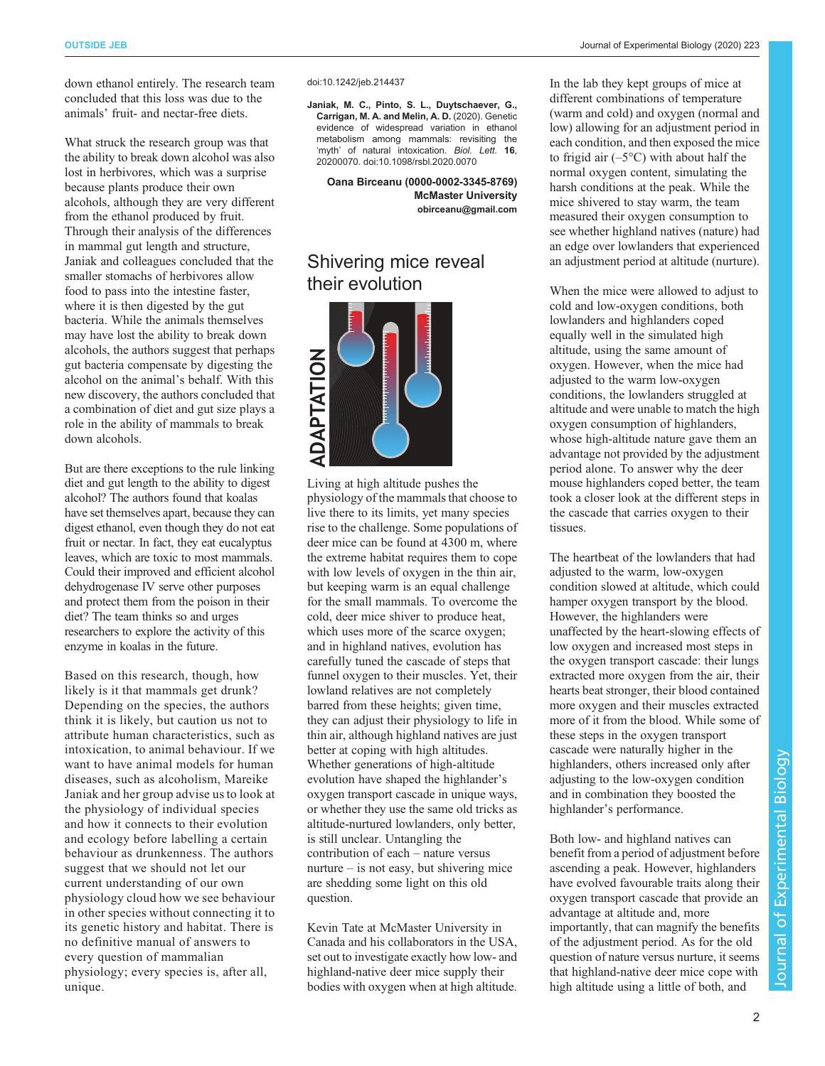down ethanol entirely. The research team concluded that this loss was due to the animals' fruit- and nectar-free diets.

What struck the research group was that the ability to break down alcohol was also lost in herbivores, which was a surprise because plants produce their own alcohols, although they are very different from the ethanol produced by fruit. Through their analysis of the differences in mammal gut length and structure, Janiak and colleagues concluded that the smaller stomachs of herbivores allow food to pass into the intestine faster, where it is then digested by the gut bacteria. While the animals themselves may have lost the ability to break down alcohols, the authors suggest that perhaps gut bacteria compensate by digesting the alcohol on the animal's behalf. With this new discovery, the authors concluded that a combination of diet and gut size plays a role in the ability of mammals to break down alcohols.

But are there exceptions to the rule linking diet and gut length to the ability to digest alcohol? The authors found that koalas have set themselves apart, because they can digest ethanol, even though they do not eat fruit or nectar. In fact, they eat eucalyptus leaves, which are toxic to most mammals. Could their improved and efficient alcohol dehydrogenase IV serve other purposes and protect them from the poison in their diet? The team thinks so and urges researchers to explore the activity of this enzyme in koalas in the future.

Based on this research, though, how likely is it that mammals get drunk? Depending on the species, the authors think it is likely, but caution us not to attribute human characteristics, such as intoxication, to animal behaviour. If we want to have animal models for human diseases, such as alcoholism, Mareike Janiak and her group advise us to look at the physiology of individual species and how it connects to their evolution and ecology before labelling a certain behaviour as drunkenness. The authors suggest that we should not let our current understanding of our own physiology cloud how we see behaviour in other species without connecting it to its genetic history and habitat. There is no definitive manual of answers to every question of mammalian physiology; every species is, after all, unique.

[Janiak, M. C., Pinto, S. L., Duytschaever, G.,](https://doi.org/10.1098/rsbl.2020.0070) [Carrigan, M. A. and Melin, A. D.](https://doi.org/10.1098/rsbl.2020.0070) (2020). Genetic [evidence of widespread variation in ethanol](https://doi.org/10.1098/rsbl.2020.0070) [metabolism among mammals: revisiting the](https://doi.org/10.1098/rsbl.2020.0070) 'myth' [of natural intoxication.](https://doi.org/10.1098/rsbl.2020.0070) Biol. Lett. 16, [20200070. doi:10.1098/rsbl.2020.0070](https://doi.org/10.1098/rsbl.2020.0070)

Oana Birceanu [\(0000-0002-3345-8769](http://orcid.org/0000-0002-3345-8769)) McMaster University [obirceanu@gmail.com](mailto:obirceanu@gmail.com)

## Shivering mice reveal their evolution



Living at high altitude pushes the physiology of the mammals that choose to live there to its limits, yet many species rise to the challenge. Some populations of deer mice can be found at 4300 m, where the extreme habitat requires them to cope with low levels of oxygen in the thin air, but keeping warm is an equal challenge for the small mammals. To overcome the cold, deer mice shiver to produce heat, which uses more of the scarce oxygen; and in highland natives, evolution has carefully tuned the cascade of steps that funnel oxygen to their muscles. Yet, their lowland relatives are not completely barred from these heights; given time, they can adjust their physiology to life in thin air, although highland natives are just better at coping with high altitudes. Whether generations of high-altitude evolution have shaped the highlander's oxygen transport cascade in unique ways, or whether they use the same old tricks as altitude-nurtured lowlanders, only better, is still unclear. Untangling the contribution of each – nature versus nurture – is not easy, but shivering mice are shedding some light on this old question.

Kevin Tate at McMaster University in Canada and his collaborators in the USA, set out to investigate exactly how low- and highland-native deer mice supply their bodies with oxygen when at high altitude.

In the lab they kept groups of mice at different combinations of temperature (warm and cold) and oxygen (normal and low) allowing for an adjustment period in each condition, and then exposed the mice to frigid air  $(-5^{\circ}C)$  with about half the normal oxygen content, simulating the harsh conditions at the peak. While the mice shivered to stay warm, the team measured their oxygen consumption to see whether highland natives (nature) had an edge over lowlanders that experienced an adjustment period at altitude (nurture).

When the mice were allowed to adjust to cold and low-oxygen conditions, both lowlanders and highlanders coped equally well in the simulated high altitude, using the same amount of oxygen. However, when the mice had adjusted to the warm low-oxygen conditions, the lowlanders struggled at altitude and were unable to match the high oxygen consumption of highlanders, whose high-altitude nature gave them an advantage not provided by the adjustment period alone. To answer why the deer mouse highlanders coped better, the team took a closer look at the different steps in the cascade that carries oxygen to their tissues.

The heartbeat of the lowlanders that had adjusted to the warm, low-oxygen condition slowed at altitude, which could hamper oxygen transport by the blood. However, the highlanders were unaffected by the heart-slowing effects of low oxygen and increased most steps in the oxygen transport cascade: their lungs extracted more oxygen from the air, their hearts beat stronger, their blood contained more oxygen and their muscles extracted more of it from the blood. While some of these steps in the oxygen transport cascade were naturally higher in the highlanders, others increased only after adjusting to the low-oxygen condition and in combination they boosted the highlander's performance.

Both low- and highland natives can benefit from a period of adjustment before ascending a peak. However, highlanders have evolved favourable traits along their oxygen transport cascade that provide an advantage at altitude and, more importantly, that can magnify the benefits of the adjustment period. As for the old question of nature versus nurture, it seems that highland-native deer mice cope with high altitude using a little of both, and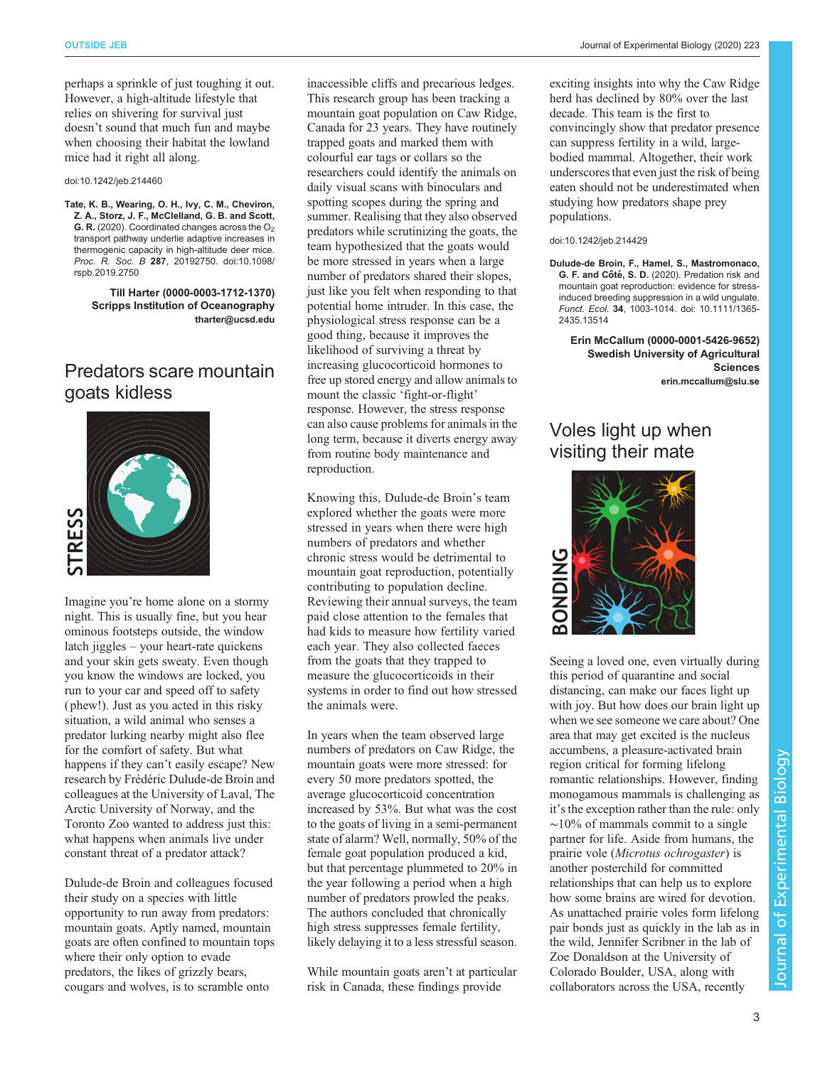perhaps a sprinkle of just toughing it out. However, a high-altitude lifestyle that relies on shivering for survival just doesn't sound that much fun and maybe when choosing their habitat the lowland mice had it right all along.

#### doi:10.1242/jeb.214460

[Tate, K. B., Wearing, O. H., Ivy, C. M., Cheviron,](https://doi.org/10.1098/rspb.2019.2750) [Z. A., Storz, J. F., McClelland, G. B. and Scott,](https://doi.org/10.1098/rspb.2019.2750) **G. R.** (2020). Coordinated changes across the  $O_2$ [transport pathway underlie adaptive increases in](https://doi.org/10.1098/rspb.2019.2750) [thermogenic capacity in high-altitude deer mice.](https://doi.org/10.1098/rspb.2019.2750) Proc. R. Soc. B 287[, 20192750. doi:10.1098/](https://doi.org/10.1098/rspb.2019.2750) [rspb.2019.2750](https://doi.org/10.1098/rspb.2019.2750)

> Till Harter [\(0000-0003-1712-1370](http://orcid.org/0000-0003-1712-1370)) Scripps Institution of Oceanography [tharter@ucsd.edu](mailto:tharter@ucsd.edu)

### Predators scare mountain goats kidless



Imagine you're home alone on a stormy night. This is usually fine, but you hear ominous footsteps outside, the window latch jiggles – your heart-rate quickens and your skin gets sweaty. Even though you know the windows are locked, you run to your car and speed off to safety ( phew!). Just as you acted in this risky situation, a wild animal who senses a predator lurking nearby might also flee for the comfort of safety. But what happens if they can't easily escape? New research by Frédéric Dulude-de Broin and colleagues at the University of Laval, The Arctic University of Norway, and the Toronto Zoo wanted to address just this: what happens when animals live under constant threat of a predator attack?

Dulude-de Broin and colleagues focused their study on a species with little opportunity to run away from predators: mountain goats. Aptly named, mountain goats are often confined to mountain tops where their only option to evade predators, the likes of grizzly bears, cougars and wolves, is to scramble onto

inaccessible cliffs and precarious ledges. This research group has been tracking a mountain goat population on Caw Ridge, Canada for 23 years. They have routinely trapped goats and marked them with colourful ear tags or collars so the researchers could identify the animals on daily visual scans with binoculars and spotting scopes during the spring and summer. Realising that they also observed predators while scrutinizing the goats, the team hypothesized that the goats would be more stressed in years when a large number of predators shared their slopes, just like you felt when responding to that potential home intruder. In this case, the physiological stress response can be a good thing, because it improves the likelihood of surviving a threat by increasing glucocorticoid hormones to free up stored energy and allow animals to mount the classic 'fight-or-flight' response. However, the stress response can also cause problems for animals in the long term, because it diverts energy away from routine body maintenance and reproduction.

Knowing this, Dulude-de Broin's team explored whether the goats were more stressed in years when there were high numbers of predators and whether chronic stress would be detrimental to mountain goat reproduction, potentially contributing to population decline. Reviewing their annual surveys, the team paid close attention to the females that had kids to measure how fertility varied each year. They also collected faeces from the goats that they trapped to measure the glucocorticoids in their systems in order to find out how stressed the animals were.

In years when the team observed large numbers of predators on Caw Ridge, the mountain goats were more stressed: for every 50 more predators spotted, the average glucocorticoid concentration increased by 53%. But what was the cost to the goats of living in a semi-permanent state of alarm? Well, normally, 50% of the female goat population produced a kid, but that percentage plummeted to 20% in the year following a period when a high number of predators prowled the peaks. The authors concluded that chronically high stress suppresses female fertility, likely delaying it to a less stressful season.

While mountain goats aren't at particular risk in Canada, these findings provide

exciting insights into why the Caw Ridge herd has declined by 80% over the last decade. This team is the first to convincingly show that predator presence can suppress fertility in a wild, largebodied mammal. Altogether, their work underscores that even just the risk of being eaten should not be underestimated when studying how predators shape prey populations.

#### doi:10.1242/jeb.214429

[Dulude-de Broin, F., Hamel, S., Mastromonaco,](https://doi.org/10.1111/1365-2435.13514) G. F. and Côté, S. D. [\(2020\). Predation risk and](https://doi.org/10.1111/1365-2435.13514) [mountain goat reproduction: evidence for stress](https://doi.org/10.1111/1365-2435.13514)[induced breeding suppression in a wild ungulate.](https://doi.org/10.1111/1365-2435.13514) Funct. Ecol. 34[, 1003-1014. doi: 10.1111/1365-](https://doi.org/10.1111/1365-2435.13514) [2435.13514](https://doi.org/10.1111/1365-2435.13514)

Erin McCallum [\(0000-0001-5426-9652](http://orcid.org/0000-0001-5426-9652)) Swedish University of Agricultural **Sciences** [erin.mccallum@slu.se](mailto:erin.mccallum@slu.se)

## Voles light up when visiting their mate



Seeing a loved one, even virtually during this period of quarantine and social distancing, can make our faces light up with joy. But how does our brain light up when we see someone we care about? One area that may get excited is the nucleus accumbens, a pleasure-activated brain region critical for forming lifelong romantic relationships. However, finding monogamous mammals is challenging as it's the exception rather than the rule: only  $~\sim$ 10% of mammals commit to a single partner for life. Aside from humans, the prairie vole (Microtus ochrogaster) is another posterchild for committed relationships that can help us to explore how some brains are wired for devotion. As unattached prairie voles form lifelong pair bonds just as quickly in the lab as in the wild, Jennifer Scribner in the lab of Zoe Donaldson at the University of Colorado Boulder, USA, along with collaborators across the USA, recently